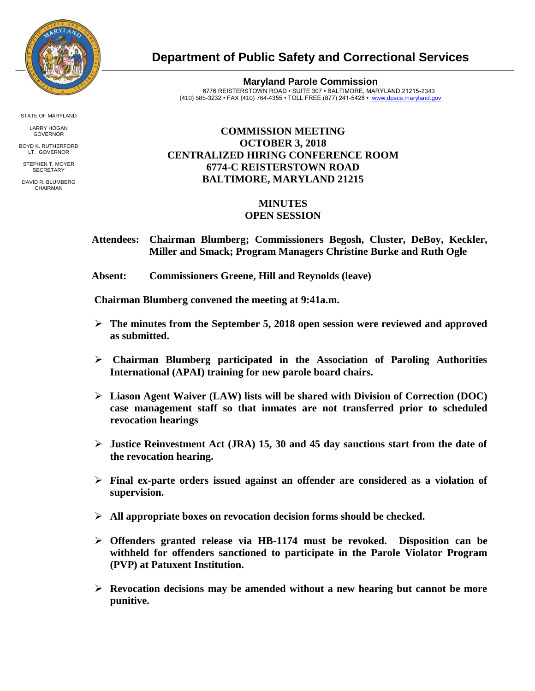

**Department of Public Safety and Correctional Services**

**Maryland Parole Commission** 6776 REISTERSTOWN ROAD • SUITE 307 • BALTIMORE, MARYLAND 21215-2343 (410) 585-3232 • FAX (410) 764-4355 • TOLL FREE (877) 241-5428 • [www.dpscs.maryland.gov](http://www.dpscs.maryland.gov/) 

## **COMMISSION MEETING OCTOBER 3, 2018 CENTRALIZED HIRING CONFERENCE ROOM 6774-C REISTERSTOWN ROAD BALTIMORE, MARYLAND 21215**

## **MINUTES OPEN SESSION**

 **Attendees: Chairman Blumberg; Commissioners Begosh, Cluster, DeBoy, Keckler, Miller and Smack; Program Managers Christine Burke and Ruth Ogle**

 **Absent: Commissioners Greene, Hill and Reynolds (leave)**

 **Chairman Blumberg convened the meeting at 9:41a.m.**

- $\geq$  The minutes from the September 5, 2018 open session were reviewed and approved **as submitted.**
- **Chairman Blumberg participated in the Association of Paroling Authorities International (APAI) training for new parole board chairs.**
- **Liason Agent Waiver (LAW) lists will be shared with Division of Correction (DOC) case management staff so that inmates are not transferred prior to scheduled revocation hearings**
- **Justice Reinvestment Act (JRA) 15, 30 and 45 day sanctions start from the date of the revocation hearing.**
- **Final ex-parte orders issued against an offender are considered as a violation of supervision.**
- **All appropriate boxes on revocation decision forms should be checked.**
- **Offenders granted release via HB-1174 must be revoked. Disposition can be withheld for offenders sanctioned to participate in the Parole Violator Program (PVP) at Patuxent Institution.**
- **Revocation decisions may be amended without a new hearing but cannot be more punitive.**

STATE OF MARYLAND

LARRY HOGAN GOVERNOR BOYD K. RUTHERFORD

LT. GOVERNOR STEPHEN T. MOYER **SECRETARY** 

DAVID R. BLUMBERG CHAIRMAN